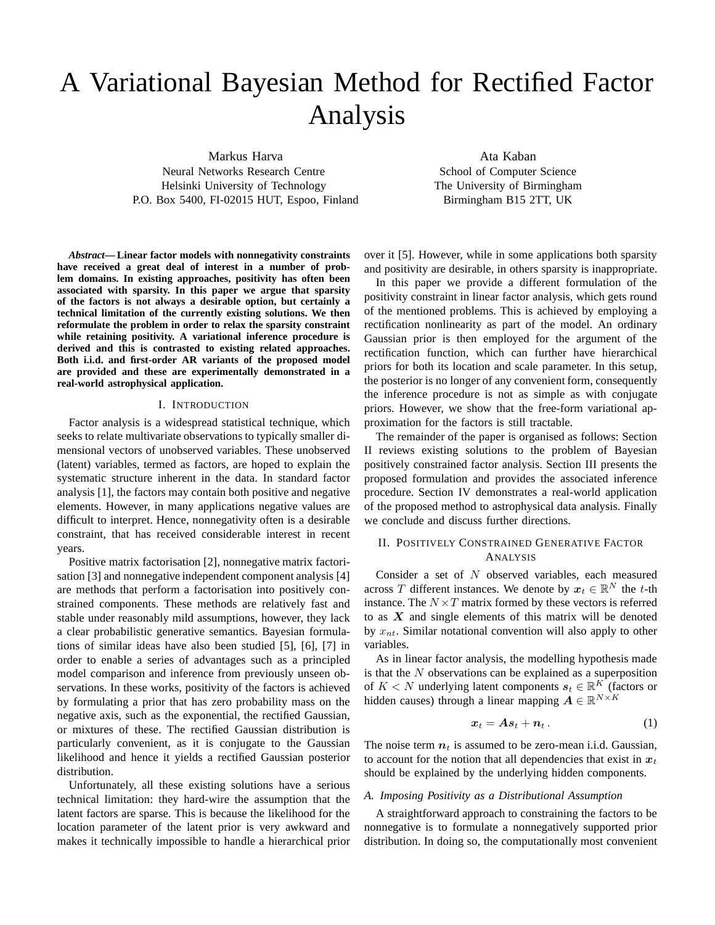# A Variational Bayesian Method for Rectified Factor Analysis

Markus Harva Neural Networks Research Centre Helsinki University of Technology P.O. Box 5400, FI-02015 HUT, Espoo, Finland

Ata Kaban School of Computer Science The University of Birmingham Birmingham B15 2TT, UK

*Abstract***— Linear factor models with nonnegativity constraints have received a great deal of interest in a number of problem domains. In existing approaches, positivity has often been associated with sparsity. In this paper we argue that sparsity of the factors is not always a desirable option, but certainly a technical limitation of the currently existing solutions. We then reformulate the problem in order to relax the sparsity constraint while retaining positivity. A variational inference procedure is derived and this is contrasted to existing related approaches. Both i.i.d. and first-order AR variants of the proposed model are provided and these are experimentally demonstrated in a real-world astrophysical application.**

# I. INTRODUCTION

Factor analysis is a widespread statistical technique, which seeks to relate multivariate observations to typically smaller dimensional vectors of unobserved variables. These unobserved (latent) variables, termed as factors, are hoped to explain the systematic structure inherent in the data. In standard factor analysis [1], the factors may contain both positive and negative elements. However, in many applications negative values are difficult to interpret. Hence, nonnegativity often is a desirable constraint, that has received considerable interest in recent years.

Positive matrix factorisation [2], nonnegative matrix factorisation [3] and nonnegative independent component analysis [4] are methods that perform a factorisation into positively constrained components. These methods are relatively fast and stable under reasonably mild assumptions, however, they lack a clear probabilistic generative semantics. Bayesian formulations of similar ideas have also been studied [5], [6], [7] in order to enable a series of advantages such as a principled model comparison and inference from previously unseen observations. In these works, positivity of the factors is achieved by formulating a prior that has zero probability mass on the negative axis, such as the exponential, the rectified Gaussian, or mixtures of these. The rectified Gaussian distribution is particularly convenient, as it is conjugate to the Gaussian likelihood and hence it yields a rectified Gaussian posterior distribution.

Unfortunately, all these existing solutions have a serious technical limitation: they hard-wire the assumption that the latent factors are sparse. This is because the likelihood for the location parameter of the latent prior is very awkward and makes it technically impossible to handle a hierarchical prior over it [5]. However, while in some applications both sparsity and positivity are desirable, in others sparsity is inappropriate.

In this paper we provide a different formulation of the positivity constraint in linear factor analysis, which gets round of the mentioned problems. This is achieved by employing a rectification nonlinearity as part of the model. An ordinary Gaussian prior is then employed for the argument of the rectification function, which can further have hierarchical priors for both its location and scale parameter. In this setup, the posterior is no longer of any convenient form, consequently the inference procedure is not as simple as with conjugate priors. However, we show that the free-form variational approximation for the factors is still tractable.

The remainder of the paper is organised as follows: Section II reviews existing solutions to the problem of Bayesian positively constrained factor analysis. Section III presents the proposed formulation and provides the associated inference procedure. Section IV demonstrates a real-world application of the proposed method to astrophysical data analysis. Finally we conclude and discuss further directions.

# II. POSITIVELY CONSTRAINED GENERATIVE FACTOR ANALYSIS

Consider a set of N observed variables, each measured across T different instances. We denote by  $x_t \in \mathbb{R}^N$  the t-th instance. The  $N \times T$  matrix formed by these vectors is referred to as  $X$  and single elements of this matrix will be denoted by  $x_{nt}$ . Similar notational convention will also apply to other variables.

As in linear factor analysis, the modelling hypothesis made is that the  $N$  observations can be explained as a superposition of  $K < N$  underlying latent components  $s_t \in \mathbb{R}^K$  (factors or hidden causes) through a linear mapping  $\mathbf{A} \in \mathbb{R}^{N \times K}$ 

$$
x_t = As_t + n_t. \t\t(1)
$$

The noise term  $n_t$  is assumed to be zero-mean i.i.d. Gaussian, to account for the notion that all dependencies that exist in  $x_t$ should be explained by the underlying hidden components.

## *A. Imposing Positivity as a Distributional Assumption*

A straightforward approach to constraining the factors to be nonnegative is to formulate a nonnegatively supported prior distribution. In doing so, the computationally most convenient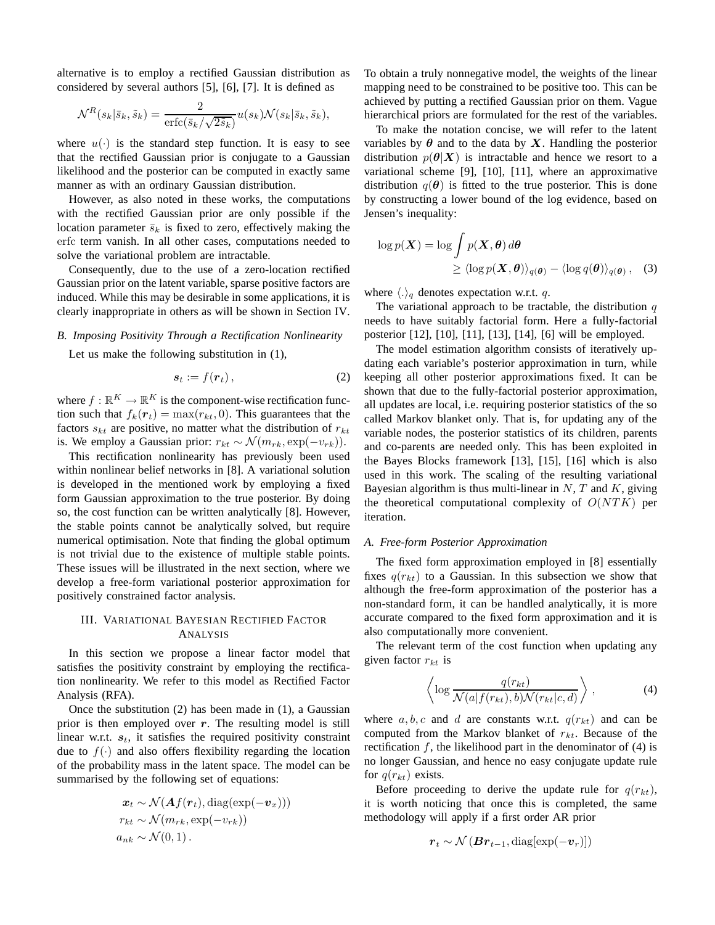alternative is to employ a rectified Gaussian distribution as considered by several authors [5], [6], [7]. It is defined as

$$
\mathcal{N}^R(s_k|\bar{s}_k,\tilde{s}_k) = \frac{2}{\text{erfc}(\bar{s}_k/\sqrt{2\tilde{s}_k})} u(s_k)\mathcal{N}(s_k|\bar{s}_k,\tilde{s}_k),
$$

where  $u(\cdot)$  is the standard step function. It is easy to see that the rectified Gaussian prior is conjugate to a Gaussian likelihood and the posterior can be computed in exactly same manner as with an ordinary Gaussian distribution.

However, as also noted in these works, the computations with the rectified Gaussian prior are only possible if the location parameter  $\bar{s}_k$  is fixed to zero, effectively making the erfc term vanish. In all other cases, computations needed to solve the variational problem are intractable.

Consequently, due to the use of a zero-location rectified Gaussian prior on the latent variable, sparse positive factors are induced. While this may be desirable in some applications, it is clearly inappropriate in others as will be shown in Section IV.

#### *B. Imposing Positivity Through a Rectification Nonlinearity*

Let us make the following substitution in (1),

$$
s_t := f(\boldsymbol{r}_t), \tag{2}
$$

where  $f : \mathbb{R}^K \to \mathbb{R}^K$  is the component-wise rectification function such that  $f_k(\mathbf{r}_t) = \max(r_{kt}, 0)$ . This guarantees that the factors  $s_{kt}$  are positive, no matter what the distribution of  $r_{kt}$ is. We employ a Gaussian prior:  $r_{kt} \sim \mathcal{N}(m_{rk}, \exp(-v_{rk}))$ .

This rectification nonlinearity has previously been used within nonlinear belief networks in [8]. A variational solution is developed in the mentioned work by employing a fixed form Gaussian approximation to the true posterior. By doing so, the cost function can be written analytically [8]. However, the stable points cannot be analytically solved, but require numerical optimisation. Note that finding the global optimum is not trivial due to the existence of multiple stable points. These issues will be illustrated in the next section, where we develop a free-form variational posterior approximation for positively constrained factor analysis.

# III. VARIATIONAL BAYESIAN RECTIFIED FACTOR ANALYSIS

In this section we propose a linear factor model that satisfies the positivity constraint by employing the rectification nonlinearity. We refer to this model as Rectified Factor Analysis (RFA).

Once the substitution (2) has been made in (1), a Gaussian prior is then employed over  $r$ . The resulting model is still linear w.r.t.  $s_t$ , it satisfies the required positivity constraint due to  $f(\cdot)$  and also offers flexibility regarding the location of the probability mass in the latent space. The model can be summarised by the following set of equations:

$$
\mathbf{x}_t \sim \mathcal{N}(\mathbf{A}f(\mathbf{r}_t), \text{diag}(\exp(-\mathbf{v}_x)))
$$
  

$$
r_{kt} \sim \mathcal{N}(m_{rk}, \exp(-v_{rk}))
$$
  

$$
a_{nk} \sim \mathcal{N}(0, 1).
$$

To obtain a truly nonnegative model, the weights of the linear mapping need to be constrained to be positive too. This can be achieved by putting a rectified Gaussian prior on them. Vague hierarchical priors are formulated for the rest of the variables.

To make the notation concise, we will refer to the latent variables by  $\theta$  and to the data by X. Handling the posterior distribution  $p(\theta|X)$  is intractable and hence we resort to a variational scheme [9], [10], [11], where an approximative distribution  $q(\theta)$  is fitted to the true posterior. This is done by constructing a lower bound of the log evidence, based on Jensen's inequality:

$$
\log p(\boldsymbol{X}) = \log \int p(\boldsymbol{X}, \boldsymbol{\theta}) d\boldsymbol{\theta}
$$
  
 
$$
\geq \langle \log p(\boldsymbol{X}, \boldsymbol{\theta}) \rangle_{q(\boldsymbol{\theta})} - \langle \log q(\boldsymbol{\theta}) \rangle_{q(\boldsymbol{\theta})}, \quad (3)
$$

where  $\langle . \rangle_q$  denotes expectation w.r.t. q.

The variational approach to be tractable, the distribution  $q$ needs to have suitably factorial form. Here a fully-factorial posterior [12], [10], [11], [13], [14], [6] will be employed.

The model estimation algorithm consists of iteratively updating each variable's posterior approximation in turn, while keeping all other posterior approximations fixed. It can be shown that due to the fully-factorial posterior approximation, all updates are local, i.e. requiring posterior statistics of the so called Markov blanket only. That is, for updating any of the variable nodes, the posterior statistics of its children, parents and co-parents are needed only. This has been exploited in the Bayes Blocks framework [13], [15], [16] which is also used in this work. The scaling of the resulting variational Bayesian algorithm is thus multi-linear in  $N$ ,  $T$  and  $K$ , giving the theoretical computational complexity of  $O(NTK)$  per iteration.

#### *A. Free-form Posterior Approximation*

The fixed form approximation employed in [8] essentially fixes  $q(r_{kt})$  to a Gaussian. In this subsection we show that although the free-form approximation of the posterior has a non-standard form, it can be handled analytically, it is more accurate compared to the fixed form approximation and it is also computationally more convenient.

The relevant term of the cost function when updating any given factor  $r_{kt}$  is

$$
\left\langle \log \frac{q(r_{kt})}{\mathcal{N}(a|f(r_{kt}), b)\mathcal{N}(r_{kt}|c, d)} \right\rangle, \tag{4}
$$

where  $a, b, c$  and d are constants w.r.t.  $q(r_{kt})$  and can be computed from the Markov blanket of  $r_{kt}$ . Because of the rectification  $f$ , the likelihood part in the denominator of (4) is no longer Gaussian, and hence no easy conjugate update rule for  $q(r_{kt})$  exists.

Before proceeding to derive the update rule for  $q(r_{kt})$ , it is worth noticing that once this is completed, the same methodology will apply if a first order AR prior

$$
\boldsymbol{r}_t \sim \mathcal{N}\left(\boldsymbol{Br}_{t-1}, \text{diag}[\exp(-\boldsymbol{v}_r)]\right)
$$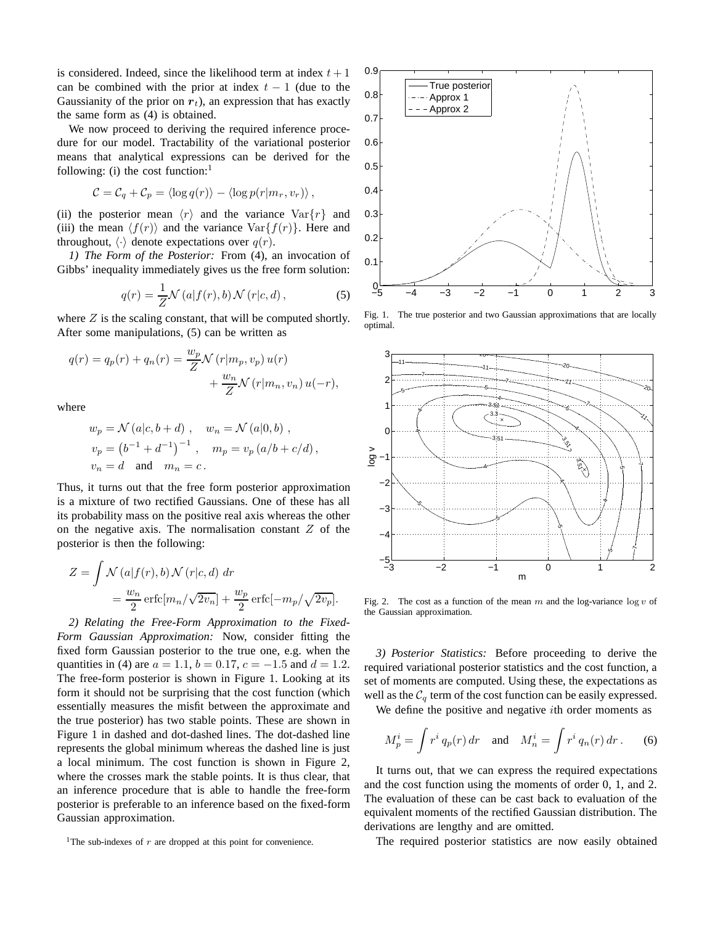is considered. Indeed, since the likelihood term at index  $t + 1$ can be combined with the prior at index  $t - 1$  (due to the Gaussianity of the prior on  $r_t$ ), an expression that has exactly the same form as (4) is obtained.

We now proceed to deriving the required inference procedure for our model. Tractability of the variational posterior means that analytical expressions can be derived for the following: (i) the cost function: $<sup>1</sup>$ </sup>

$$
C = C_q + C_p = \langle \log q(r) \rangle - \langle \log p(r|m_r, v_r) \rangle,
$$

(ii) the posterior mean  $\langle r \rangle$  and the variance  $\text{Var}\{r\}$  and (iii) the mean  $\langle f(r) \rangle$  and the variance Var $\{f(r)\}\)$ . Here and throughout,  $\langle \cdot \rangle$  denote expectations over  $q(r)$ .

*1) The Form of the Posterior:* From (4), an invocation of Gibbs' inequality immediately gives us the free form solution:

$$
q(r) = \frac{1}{Z} \mathcal{N}\left(a|f(r),b\right) \mathcal{N}\left(r|c,d\right),\tag{5}
$$

where  $Z$  is the scaling constant, that will be computed shortly. After some manipulations, (5) can be written as

$$
q(r) = q_p(r) + q_n(r) = \frac{w_p}{Z} \mathcal{N}(r|m_p, v_p) u(r)
$$

$$
+ \frac{w_n}{Z} \mathcal{N}(r|m_n, v_n) u(-r),
$$

where

$$
w_p = \mathcal{N}(a|c, b+d)
$$
,  $w_n = \mathcal{N}(a|0, b)$ ,  
\n $v_p = (b^{-1} + d^{-1})^{-1}$ ,  $m_p = v_p(a/b + c/d)$ ,  
\n $v_n = d$  and  $m_n = c$ .

Thus, it turns out that the free form posterior approximation is a mixture of two rectified Gaussians. One of these has all its probability mass on the positive real axis whereas the other on the negative axis. The normalisation constant  $Z$  of the posterior is then the following:

$$
Z = \int \mathcal{N}(a|f(r), b) \mathcal{N}(r|c, d) dr
$$
  
=  $\frac{w_n}{2}$  erfc $[m_n/\sqrt{2v_n}]$  +  $\frac{w_p}{2}$  erfc $[-m_p/\sqrt{2v_p}]$ .

*2) Relating the Free-Form Approximation to the Fixed-Form Gaussian Approximation:* Now, consider fitting the fixed form Gaussian posterior to the true one, e.g. when the quantities in (4) are  $a = 1.1$ ,  $b = 0.17$ ,  $c = -1.5$  and  $d = 1.2$ . The free-form posterior is shown in Figure 1. Looking at its form it should not be surprising that the cost function (which essentially measures the misfit between the approximate and the true posterior) has two stable points. These are shown in Figure 1 in dashed and dot-dashed lines. The dot-dashed line represents the global minimum whereas the dashed line is just a local minimum. The cost function is shown in Figure 2, where the crosses mark the stable points. It is thus clear, that an inference procedure that is able to handle the free-form posterior is preferable to an inference based on the fixed-form Gaussian approximation.



Fig. 1. The true posterior and two Gaussian approximations that are locally optimal.



Fig. 2. The cost as a function of the mean m and the log-variance  $\log v$  of the Gaussian approximation.

*3) Posterior Statistics:* Before proceeding to derive the required variational posterior statistics and the cost function, a set of moments are computed. Using these, the expectations as well as the  $C_q$  term of the cost function can be easily expressed.

We define the positive and negative  $i$ th order moments as

$$
M_p^i = \int r^i q_p(r) dr \quad \text{and} \quad M_n^i = \int r^i q_n(r) dr \,. \tag{6}
$$

It turns out, that we can express the required expectations and the cost function using the moments of order 0, 1, and 2. The evaluation of these can be cast back to evaluation of the equivalent moments of the rectified Gaussian distribution. The derivations are lengthy and are omitted.

The required posterior statistics are now easily obtained

<sup>&</sup>lt;sup>1</sup>The sub-indexes of  $r$  are dropped at this point for convenience.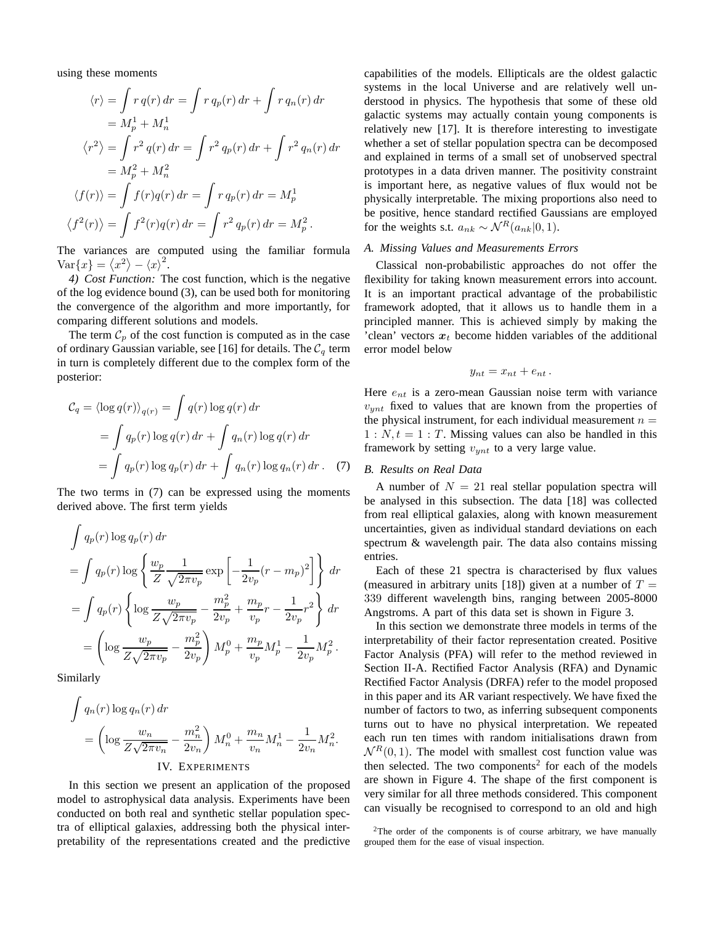using these moments

$$
\langle r \rangle = \int r q(r) dr = \int r q_p(r) dr + \int r q_n(r) dr
$$
  
\n
$$
= M_p^1 + M_n^1
$$
  
\n
$$
\langle r^2 \rangle = \int r^2 q(r) dr = \int r^2 q_p(r) dr + \int r^2 q_n(r) dr
$$
  
\n
$$
= M_p^2 + M_n^2
$$
  
\n
$$
\langle f(r) \rangle = \int f(r) q(r) dr = \int r q_p(r) dr = M_p^1
$$
  
\n
$$
\langle f^2(r) \rangle = \int f^2(r) q(r) dr = \int r^2 q_p(r) dr = M_p^2.
$$

The variances are computed using the familiar formula Var ${x} = \langle x^2 \rangle - \langle x \rangle^2$ .

*4) Cost Function:* The cost function, which is the negative of the log evidence bound (3), can be used both for monitoring the convergence of the algorithm and more importantly, for comparing different solutions and models.

The term  $\mathcal{C}_p$  of the cost function is computed as in the case of ordinary Gaussian variable, see [16] for details. The  $C_q$  term in turn is completely different due to the complex form of the posterior:

$$
C_q = \langle \log q(r) \rangle_{q(r)} = \int q(r) \log q(r) dr
$$
  
= 
$$
\int q_p(r) \log q(r) dr + \int q_n(r) \log q(r) dr
$$
  
= 
$$
\int q_p(r) \log q_p(r) dr + \int q_n(r) \log q_n(r) dr.
$$
 (7)

The two terms in (7) can be expressed using the moments derived above. The first term yields

$$
\int q_p(r) \log q_p(r) dr
$$
\n
$$
= \int q_p(r) \log \left\{ \frac{w_p}{Z} \frac{1}{\sqrt{2\pi v_p}} \exp \left[ -\frac{1}{2v_p} (r - m_p)^2 \right] \right\} dr
$$
\n
$$
= \int q_p(r) \left\{ \log \frac{w_p}{Z\sqrt{2\pi v_p}} - \frac{m_p^2}{2v_p} + \frac{m_p}{v_p} r - \frac{1}{2v_p} r^2 \right\} dr
$$
\n
$$
= \left( \log \frac{w_p}{Z\sqrt{2\pi v_p}} - \frac{m_p^2}{2v_p} \right) M_p^0 + \frac{m_p}{v_p} M_p^1 - \frac{1}{2v_p} M_p^2.
$$

Similarly

$$
\int q_n(r) \log q_n(r) dr
$$
  
=  $\left( \log \frac{w_n}{Z\sqrt{2\pi v_n}} - \frac{m_n^2}{2v_n} \right) M_n^0 + \frac{m_n}{v_n} M_n^1 - \frac{1}{2v_n} M_n^2.$   
IV. EXPERIMENTS

In this section we present an application of the proposed model to astrophysical data analysis. Experiments have been conducted on both real and synthetic stellar population spectra of elliptical galaxies, addressing both the physical interpretability of the representations created and the predictive capabilities of the models. Ellipticals are the oldest galactic systems in the local Universe and are relatively well understood in physics. The hypothesis that some of these old galactic systems may actually contain young components is relatively new [17]. It is therefore interesting to investigate whether a set of stellar population spectra can be decomposed and explained in terms of a small set of unobserved spectral prototypes in a data driven manner. The positivity constraint is important here, as negative values of flux would not be physically interpretable. The mixing proportions also need to be positive, hence standard rectified Gaussians are employed for the weights s.t.  $a_{nk} \sim \mathcal{N}^R(a_{nk}|0, 1)$ .

## *A. Missing Values and Measurements Errors*

Classical non-probabilistic approaches do not offer the flexibility for taking known measurement errors into account. It is an important practical advantage of the probabilistic framework adopted, that it allows us to handle them in a principled manner. This is achieved simply by making the 'clean' vectors  $x_t$  become hidden variables of the additional error model below

$$
y_{nt} = x_{nt} + e_{nt}.
$$

Here  $e_{nt}$  is a zero-mean Gaussian noise term with variance  $v<sub>unt</sub>$  fixed to values that are known from the properties of the physical instrument, for each individual measurement  $n =$  $1: N, t = 1: T$ . Missing values can also be handled in this framework by setting  $v_{ynt}$  to a very large value.

# *B. Results on Real Data*

A number of  $N = 21$  real stellar population spectra will be analysed in this subsection. The data [18] was collected from real elliptical galaxies, along with known measurement uncertainties, given as individual standard deviations on each spectrum & wavelength pair. The data also contains missing entries.

Each of these 21 spectra is characterised by flux values (measured in arbitrary units [18]) given at a number of  $T =$ 339 different wavelength bins, ranging between 2005-8000 Angstroms. A part of this data set is shown in Figure 3.

In this section we demonstrate three models in terms of the interpretability of their factor representation created. Positive Factor Analysis (PFA) will refer to the method reviewed in Section II-A. Rectified Factor Analysis (RFA) and Dynamic Rectified Factor Analysis (DRFA) refer to the model proposed in this paper and its AR variant respectively. We have fixed the number of factors to two, as inferring subsequent components turns out to have no physical interpretation. We repeated each run ten times with random initialisations drawn from  $\mathcal{N}^R(0, 1)$ . The model with smallest cost function value was then selected. The two components<sup>2</sup> for each of the models are shown in Figure 4. The shape of the first component is very similar for all three methods considered. This component can visually be recognised to correspond to an old and high

<sup>&</sup>lt;sup>2</sup>The order of the components is of course arbitrary, we have manually grouped them for the ease of visual inspection.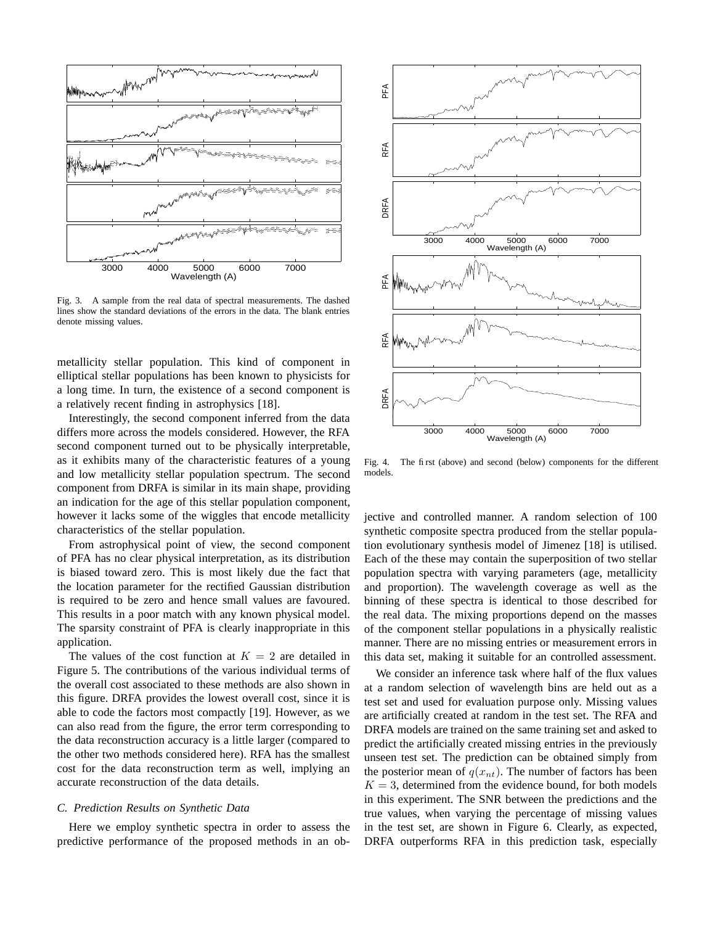

Fig. 3. A sample from the real data of spectral measurements. The dashed lines show the standard deviations of the errors in the data. The blank entries denote missing values.

metallicity stellar population. This kind of component in elliptical stellar populations has been known to physicists for a long time. In turn, the existence of a second component is a relatively recent finding in astrophysics [18].

Interestingly, the second component inferred from the data differs more across the models considered. However, the RFA second component turned out to be physically interpretable, as it exhibits many of the characteristic features of a young and low metallicity stellar population spectrum. The second component from DRFA is similar in its main shape, providing an indication for the age of this stellar population component, however it lacks some of the wiggles that encode metallicity characteristics of the stellar population.

From astrophysical point of view, the second component of PFA has no clear physical interpretation, as its distribution is biased toward zero. This is most likely due the fact that the location parameter for the rectified Gaussian distribution is required to be zero and hence small values are favoured. This results in a poor match with any known physical model. The sparsity constraint of PFA is clearly inappropriate in this application.

The values of the cost function at  $K = 2$  are detailed in Figure 5. The contributions of the various individual terms of the overall cost associated to these methods are also shown in this figure. DRFA provides the lowest overall cost, since it is able to code the factors most compactly [19]. However, as we can also read from the figure, the error term corresponding to the data reconstruction accuracy is a little larger (compared to the other two methods considered here). RFA has the smallest cost for the data reconstruction term as well, implying an accurate reconstruction of the data details.

### *C. Prediction Results on Synthetic Data*

Here we employ synthetic spectra in order to assess the predictive performance of the proposed methods in an ob-



Fig. 4. The first (above) and second (below) components for the different models.

jective and controlled manner. A random selection of 100 synthetic composite spectra produced from the stellar population evolutionary synthesis model of Jimenez [18] is utilised. Each of the these may contain the superposition of two stellar population spectra with varying parameters (age, metallicity and proportion). The wavelength coverage as well as the binning of these spectra is identical to those described for the real data. The mixing proportions depend on the masses of the component stellar populations in a physically realistic manner. There are no missing entries or measurement errors in this data set, making it suitable for an controlled assessment.

We consider an inference task where half of the flux values at a random selection of wavelength bins are held out as a test set and used for evaluation purpose only. Missing values are artificially created at random in the test set. The RFA and DRFA models are trained on the same training set and asked to predict the artificially created missing entries in the previously unseen test set. The prediction can be obtained simply from the posterior mean of  $q(x_{nt})$ . The number of factors has been  $K = 3$ , determined from the evidence bound, for both models in this experiment. The SNR between the predictions and the true values, when varying the percentage of missing values in the test set, are shown in Figure 6. Clearly, as expected, DRFA outperforms RFA in this prediction task, especially